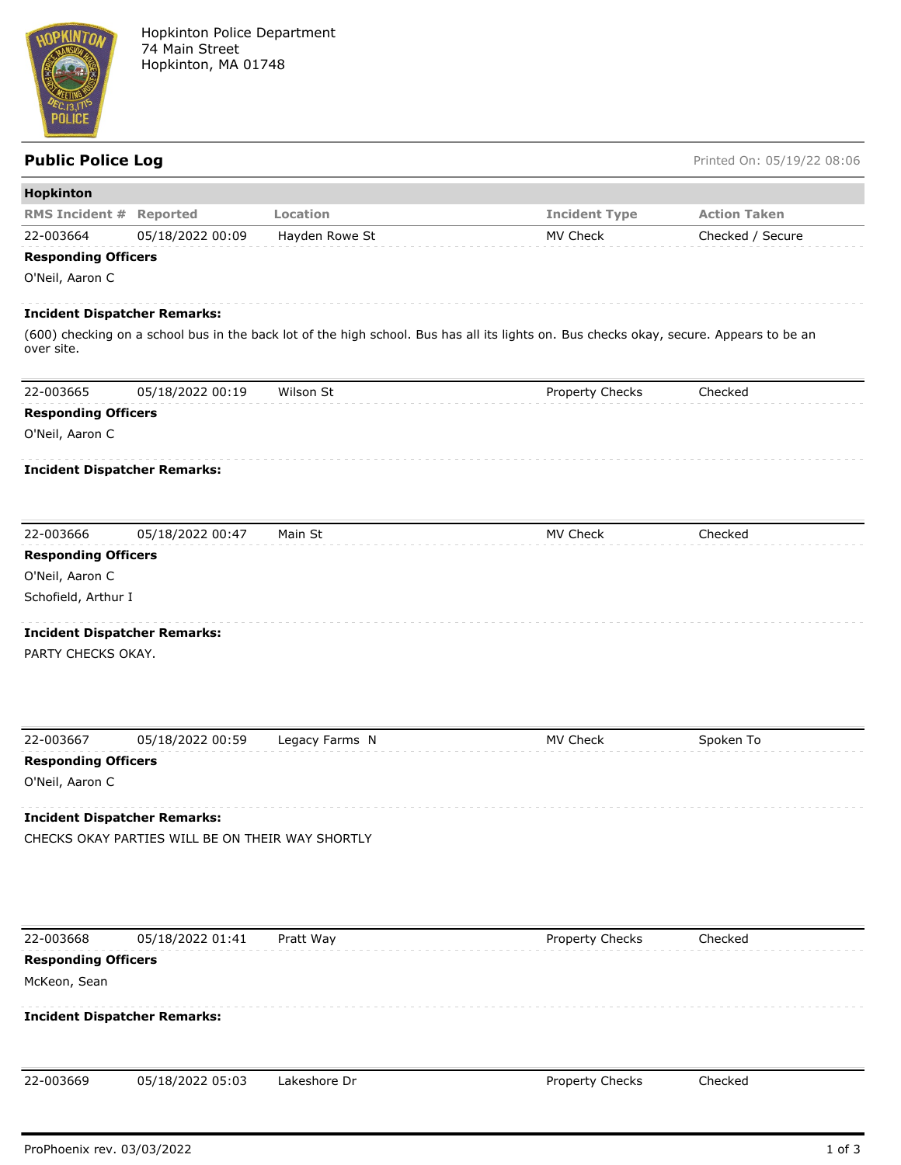

## **Public Police Log** Printed On: 05/19/22 08:06

| <b>RMS Incident # Reported</b><br>Location<br><b>Incident Type</b><br><b>Action Taken</b><br>22-003664<br>05/18/2022 00:09<br>Hayden Rowe St<br>MV Check<br>Checked / Secure<br><b>Responding Officers</b><br>O'Neil, Aaron C<br><b>Incident Dispatcher Remarks:</b><br>(600) checking on a school bus in the back lot of the high school. Bus has all its lights on. Bus checks okay, secure. Appears to be an<br>over site.<br>22-003665<br>Wilson St<br>Checked<br>05/18/2022 00:19<br>Property Checks<br><b>Responding Officers</b><br>O'Neil, Aaron C<br><b>Incident Dispatcher Remarks:</b><br>22-003666<br>MV Check<br>Checked<br>05/18/2022 00:47<br>Main St<br><b>Responding Officers</b><br>O'Neil, Aaron C<br>Schofield, Arthur I<br><b>Incident Dispatcher Remarks:</b><br>PARTY CHECKS OKAY.<br>22-003667<br>05/18/2022 00:59<br>Legacy Farms N<br>MV Check<br>Spoken To<br><b>Responding Officers</b><br>O'Neil, Aaron C<br><b>Incident Dispatcher Remarks:</b><br>CHECKS OKAY PARTIES WILL BE ON THEIR WAY SHORTLY<br>22-003668<br>05/18/2022 01:41<br>Property Checks<br>Pratt Way<br>Checked<br><b>Responding Officers</b><br>McKeon, Sean<br><b>Incident Dispatcher Remarks:</b><br>05/18/2022 05:03<br>22-003669<br>Lakeshore Dr<br>Property Checks<br>Checked | Hopkinton |  |  |
|-----------------------------------------------------------------------------------------------------------------------------------------------------------------------------------------------------------------------------------------------------------------------------------------------------------------------------------------------------------------------------------------------------------------------------------------------------------------------------------------------------------------------------------------------------------------------------------------------------------------------------------------------------------------------------------------------------------------------------------------------------------------------------------------------------------------------------------------------------------------------------------------------------------------------------------------------------------------------------------------------------------------------------------------------------------------------------------------------------------------------------------------------------------------------------------------------------------------------------------------------------------------------------------|-----------|--|--|
|                                                                                                                                                                                                                                                                                                                                                                                                                                                                                                                                                                                                                                                                                                                                                                                                                                                                                                                                                                                                                                                                                                                                                                                                                                                                                   |           |  |  |
|                                                                                                                                                                                                                                                                                                                                                                                                                                                                                                                                                                                                                                                                                                                                                                                                                                                                                                                                                                                                                                                                                                                                                                                                                                                                                   |           |  |  |
|                                                                                                                                                                                                                                                                                                                                                                                                                                                                                                                                                                                                                                                                                                                                                                                                                                                                                                                                                                                                                                                                                                                                                                                                                                                                                   |           |  |  |
|                                                                                                                                                                                                                                                                                                                                                                                                                                                                                                                                                                                                                                                                                                                                                                                                                                                                                                                                                                                                                                                                                                                                                                                                                                                                                   |           |  |  |
|                                                                                                                                                                                                                                                                                                                                                                                                                                                                                                                                                                                                                                                                                                                                                                                                                                                                                                                                                                                                                                                                                                                                                                                                                                                                                   |           |  |  |
|                                                                                                                                                                                                                                                                                                                                                                                                                                                                                                                                                                                                                                                                                                                                                                                                                                                                                                                                                                                                                                                                                                                                                                                                                                                                                   |           |  |  |
|                                                                                                                                                                                                                                                                                                                                                                                                                                                                                                                                                                                                                                                                                                                                                                                                                                                                                                                                                                                                                                                                                                                                                                                                                                                                                   |           |  |  |
|                                                                                                                                                                                                                                                                                                                                                                                                                                                                                                                                                                                                                                                                                                                                                                                                                                                                                                                                                                                                                                                                                                                                                                                                                                                                                   |           |  |  |
|                                                                                                                                                                                                                                                                                                                                                                                                                                                                                                                                                                                                                                                                                                                                                                                                                                                                                                                                                                                                                                                                                                                                                                                                                                                                                   |           |  |  |
|                                                                                                                                                                                                                                                                                                                                                                                                                                                                                                                                                                                                                                                                                                                                                                                                                                                                                                                                                                                                                                                                                                                                                                                                                                                                                   |           |  |  |
|                                                                                                                                                                                                                                                                                                                                                                                                                                                                                                                                                                                                                                                                                                                                                                                                                                                                                                                                                                                                                                                                                                                                                                                                                                                                                   |           |  |  |
|                                                                                                                                                                                                                                                                                                                                                                                                                                                                                                                                                                                                                                                                                                                                                                                                                                                                                                                                                                                                                                                                                                                                                                                                                                                                                   |           |  |  |
|                                                                                                                                                                                                                                                                                                                                                                                                                                                                                                                                                                                                                                                                                                                                                                                                                                                                                                                                                                                                                                                                                                                                                                                                                                                                                   |           |  |  |
|                                                                                                                                                                                                                                                                                                                                                                                                                                                                                                                                                                                                                                                                                                                                                                                                                                                                                                                                                                                                                                                                                                                                                                                                                                                                                   |           |  |  |
|                                                                                                                                                                                                                                                                                                                                                                                                                                                                                                                                                                                                                                                                                                                                                                                                                                                                                                                                                                                                                                                                                                                                                                                                                                                                                   |           |  |  |
|                                                                                                                                                                                                                                                                                                                                                                                                                                                                                                                                                                                                                                                                                                                                                                                                                                                                                                                                                                                                                                                                                                                                                                                                                                                                                   |           |  |  |
|                                                                                                                                                                                                                                                                                                                                                                                                                                                                                                                                                                                                                                                                                                                                                                                                                                                                                                                                                                                                                                                                                                                                                                                                                                                                                   |           |  |  |
|                                                                                                                                                                                                                                                                                                                                                                                                                                                                                                                                                                                                                                                                                                                                                                                                                                                                                                                                                                                                                                                                                                                                                                                                                                                                                   |           |  |  |
|                                                                                                                                                                                                                                                                                                                                                                                                                                                                                                                                                                                                                                                                                                                                                                                                                                                                                                                                                                                                                                                                                                                                                                                                                                                                                   |           |  |  |
|                                                                                                                                                                                                                                                                                                                                                                                                                                                                                                                                                                                                                                                                                                                                                                                                                                                                                                                                                                                                                                                                                                                                                                                                                                                                                   |           |  |  |
|                                                                                                                                                                                                                                                                                                                                                                                                                                                                                                                                                                                                                                                                                                                                                                                                                                                                                                                                                                                                                                                                                                                                                                                                                                                                                   |           |  |  |
|                                                                                                                                                                                                                                                                                                                                                                                                                                                                                                                                                                                                                                                                                                                                                                                                                                                                                                                                                                                                                                                                                                                                                                                                                                                                                   |           |  |  |
|                                                                                                                                                                                                                                                                                                                                                                                                                                                                                                                                                                                                                                                                                                                                                                                                                                                                                                                                                                                                                                                                                                                                                                                                                                                                                   |           |  |  |
|                                                                                                                                                                                                                                                                                                                                                                                                                                                                                                                                                                                                                                                                                                                                                                                                                                                                                                                                                                                                                                                                                                                                                                                                                                                                                   |           |  |  |
|                                                                                                                                                                                                                                                                                                                                                                                                                                                                                                                                                                                                                                                                                                                                                                                                                                                                                                                                                                                                                                                                                                                                                                                                                                                                                   |           |  |  |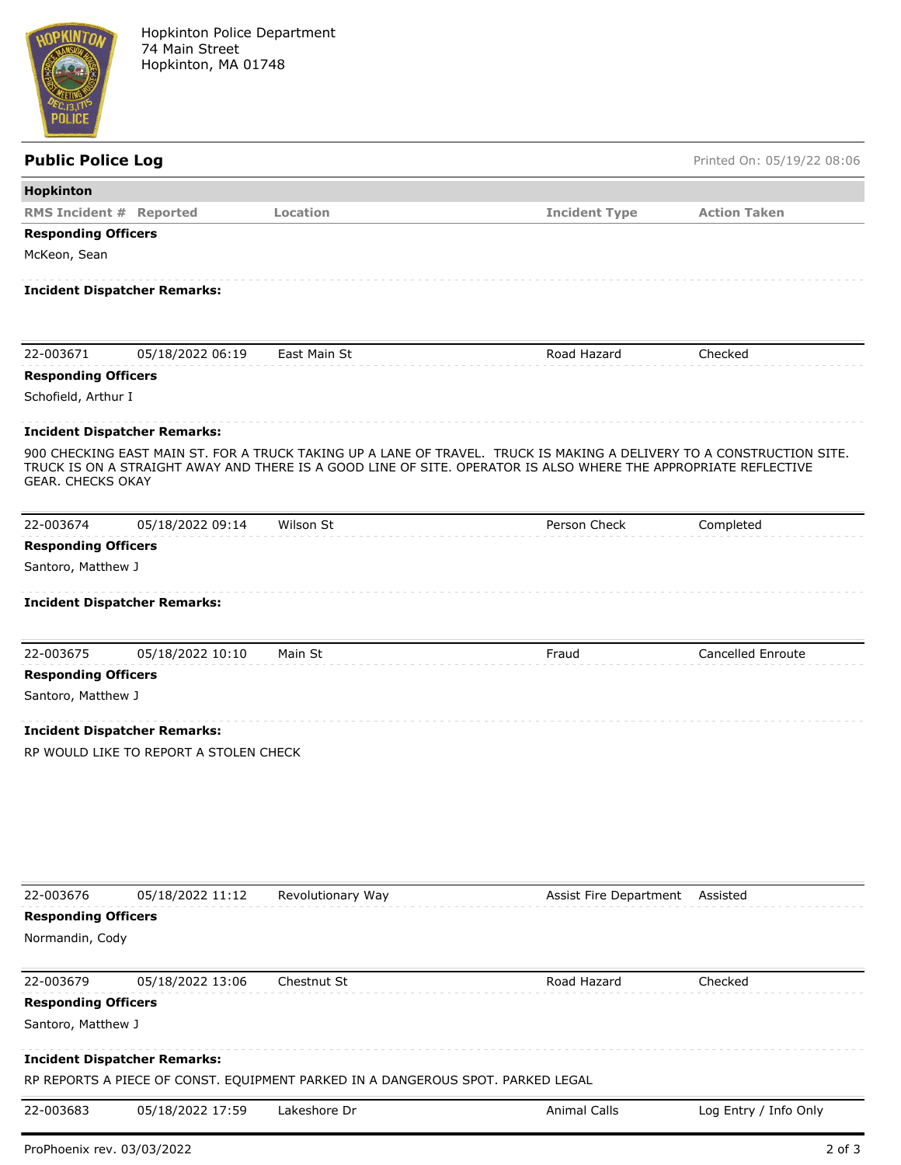

Hopkinton Police Department 74 Main Street Hopkinton, MA 01748

| <b>Public Police Log</b>   |                                        |                                                                                 |                                                                                                                                                                                                                                          | Printed On: 05/19/22 08:06 |
|----------------------------|----------------------------------------|---------------------------------------------------------------------------------|------------------------------------------------------------------------------------------------------------------------------------------------------------------------------------------------------------------------------------------|----------------------------|
| Hopkinton                  |                                        |                                                                                 |                                                                                                                                                                                                                                          |                            |
|                            | <b>RMS Incident # Reported</b>         | Location                                                                        | <b>Incident Type</b>                                                                                                                                                                                                                     | <b>Action Taken</b>        |
| <b>Responding Officers</b> |                                        |                                                                                 |                                                                                                                                                                                                                                          |                            |
| McKeon, Sean               |                                        |                                                                                 |                                                                                                                                                                                                                                          |                            |
|                            | <b>Incident Dispatcher Remarks:</b>    |                                                                                 |                                                                                                                                                                                                                                          |                            |
| 22-003671                  | 05/18/2022 06:19                       | East Main St                                                                    | Road Hazard                                                                                                                                                                                                                              | Checked                    |
| <b>Responding Officers</b> |                                        |                                                                                 |                                                                                                                                                                                                                                          |                            |
| Schofield, Arthur I        |                                        |                                                                                 |                                                                                                                                                                                                                                          |                            |
|                            | <b>Incident Dispatcher Remarks:</b>    |                                                                                 |                                                                                                                                                                                                                                          |                            |
| <b>GEAR. CHECKS OKAY</b>   |                                        |                                                                                 | 900 CHECKING EAST MAIN ST. FOR A TRUCK TAKING UP A LANE OF TRAVEL. TRUCK IS MAKING A DELIVERY TO A CONSTRUCTION SITE.<br>TRUCK IS ON A STRAIGHT AWAY AND THERE IS A GOOD LINE OF SITE. OPERATOR IS ALSO WHERE THE APPROPRIATE REFLECTIVE |                            |
| 22-003674                  | 05/18/2022 09:14                       | Wilson St                                                                       | Person Check                                                                                                                                                                                                                             | Completed                  |
| <b>Responding Officers</b> |                                        |                                                                                 |                                                                                                                                                                                                                                          |                            |
| Santoro, Matthew J         |                                        |                                                                                 |                                                                                                                                                                                                                                          |                            |
|                            | <b>Incident Dispatcher Remarks:</b>    |                                                                                 |                                                                                                                                                                                                                                          |                            |
| 22-003675                  | 05/18/2022 10:10                       | Main St                                                                         | Fraud                                                                                                                                                                                                                                    | Cancelled Enroute          |
| <b>Responding Officers</b> |                                        |                                                                                 |                                                                                                                                                                                                                                          |                            |
| Santoro, Matthew J         |                                        |                                                                                 |                                                                                                                                                                                                                                          |                            |
|                            | <b>Incident Dispatcher Remarks:</b>    |                                                                                 |                                                                                                                                                                                                                                          |                            |
|                            | RP WOULD LIKE TO REPORT A STOLEN CHECK |                                                                                 |                                                                                                                                                                                                                                          |                            |
|                            |                                        |                                                                                 |                                                                                                                                                                                                                                          |                            |
| 22-003676                  | 05/18/2022 11:12                       | Revolutionary Way                                                               | Assist Fire Department                                                                                                                                                                                                                   | Assisted                   |
| <b>Responding Officers</b> |                                        |                                                                                 |                                                                                                                                                                                                                                          |                            |
| Normandin, Cody            |                                        |                                                                                 |                                                                                                                                                                                                                                          |                            |
| 22-003679                  | 05/18/2022 13:06                       | Chestnut St                                                                     | Road Hazard                                                                                                                                                                                                                              | Checked                    |
| <b>Responding Officers</b> |                                        |                                                                                 |                                                                                                                                                                                                                                          |                            |
| Santoro, Matthew J         |                                        |                                                                                 |                                                                                                                                                                                                                                          |                            |
|                            | <b>Incident Dispatcher Remarks:</b>    | RP REPORTS A PIECE OF CONST. EQUIPMENT PARKED IN A DANGEROUS SPOT. PARKED LEGAL |                                                                                                                                                                                                                                          |                            |

22-003683 05/18/2022 17:59 Lakeshore Dr Animal Calls Log Entry / Info Only